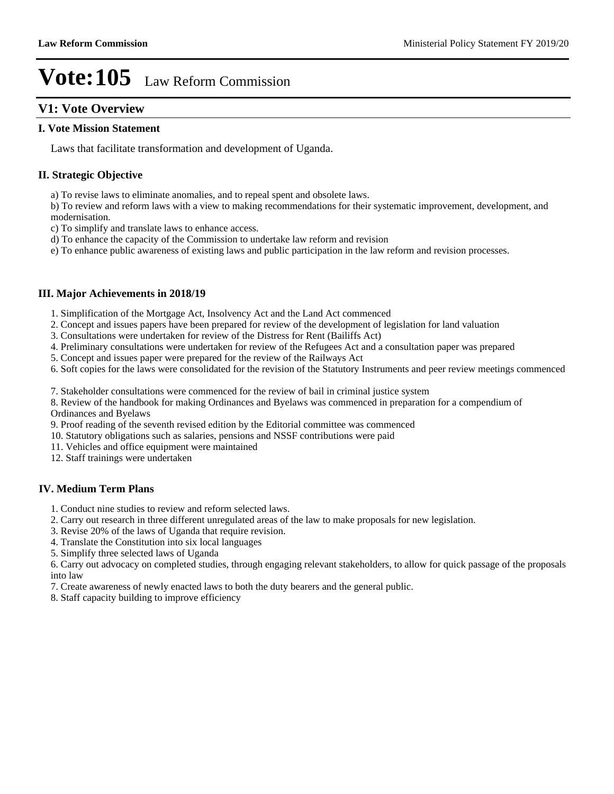## **V1: Vote Overview**

#### **I. Vote Mission Statement**

Laws that facilitate transformation and development of Uganda.

#### **II. Strategic Objective**

a) To revise laws to eliminate anomalies, and to repeal spent and obsolete laws.

b) To review and reform laws with a view to making recommendations for their systematic improvement, development, and modernisation.

c) To simplify and translate laws to enhance access.

d) To enhance the capacity of the Commission to undertake law reform and revision

e) To enhance public awareness of existing laws and public participation in the law reform and revision processes.

#### **III. Major Achievements in 2018/19**

- 1. Simplification of the Mortgage Act, Insolvency Act and the Land Act commenced
- 2. Concept and issues papers have been prepared for review of the development of legislation for land valuation
- 3. Consultations were undertaken for review of the Distress for Rent (Bailiffs Act)
- 4. Preliminary consultations were undertaken for review of the Refugees Act and a consultation paper was prepared
- 5. Concept and issues paper were prepared for the review of the Railways Act
- 6. Soft copies for the laws were consolidated for the revision of the Statutory Instruments and peer review meetings commenced

7. Stakeholder consultations were commenced for the review of bail in criminal justice system

8. Review of the handbook for making Ordinances and Byelaws was commenced in preparation for a compendium of Ordinances and Byelaws

- 9. Proof reading of the seventh revised edition by the Editorial committee was commenced
- 10. Statutory obligations such as salaries, pensions and NSSF contributions were paid
- 11. Vehicles and office equipment were maintained
- 12. Staff trainings were undertaken

#### **IV. Medium Term Plans**

- 1. Conduct nine studies to review and reform selected laws.
- 2. Carry out research in three different unregulated areas of the law to make proposals for new legislation.
- 3. Revise 20% of the laws of Uganda that require revision.
- 4. Translate the Constitution into six local languages
- 5. Simplify three selected laws of Uganda

6. Carry out advocacy on completed studies, through engaging relevant stakeholders, to allow for quick passage of the proposals into law

- 7. Create awareness of newly enacted laws to both the duty bearers and the general public.
- 8. Staff capacity building to improve efficiency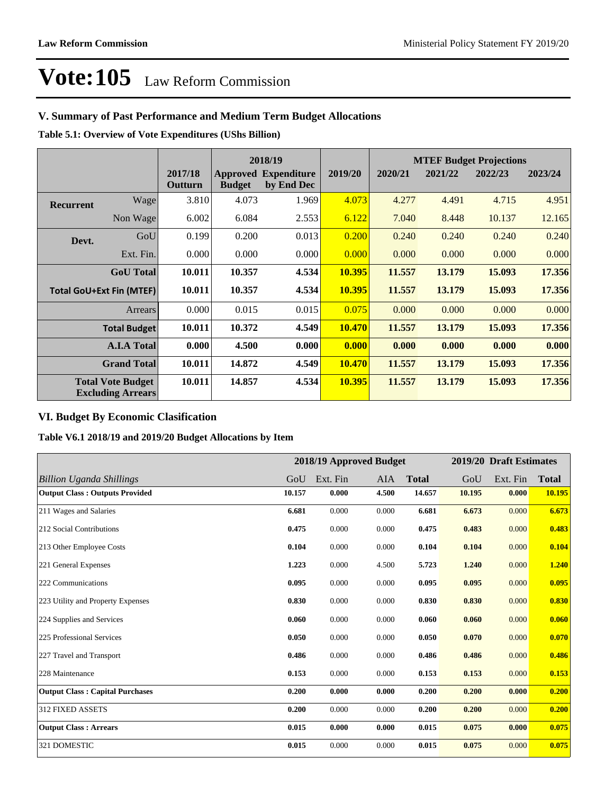## **V. Summary of Past Performance and Medium Term Budget Allocations**

**Table 5.1: Overview of Vote Expenditures (UShs Billion)**

|                  |                                                      |                    | 2018/19       |                                           |               | <b>MTEF Budget Projections</b> |         |         |         |  |
|------------------|------------------------------------------------------|--------------------|---------------|-------------------------------------------|---------------|--------------------------------|---------|---------|---------|--|
|                  |                                                      | 2017/18<br>Outturn | <b>Budget</b> | <b>Approved Expenditure</b><br>by End Dec | 2019/20       | 2020/21                        | 2021/22 | 2022/23 | 2023/24 |  |
| <b>Recurrent</b> | Wage                                                 | 3.810              | 4.073         | 1.969                                     | 4.073         | 4.277                          | 4.491   | 4.715   | 4.951   |  |
|                  | Non Wage                                             | 6.002              | 6.084         | 2.553                                     | 6.122         | 7.040                          | 8.448   | 10.137  | 12.165  |  |
| Devt.            | GoU                                                  | 0.199              | 0.200         | 0.013                                     | 0.200         | 0.240                          | 0.240   | 0.240   | 0.240   |  |
|                  | Ext. Fin.                                            | 0.000              | 0.000         | 0.000                                     | 0.000         | 0.000                          | 0.000   | 0.000   | 0.000   |  |
|                  | <b>GoU</b> Total                                     | 10.011             | 10.357        | 4.534                                     | 10.395        | 11.557                         | 13.179  | 15.093  | 17.356  |  |
|                  | <b>Total GoU+Ext Fin (MTEF)</b>                      | 10.011             | 10.357        | 4.534                                     | 10.395        | 11.557                         | 13.179  | 15.093  | 17.356  |  |
|                  | Arrears                                              | 0.000              | 0.015         | 0.015                                     | 0.075         | 0.000                          | 0.000   | 0.000   | 0.000   |  |
|                  | <b>Total Budget</b>                                  | 10.011             | 10.372        | 4.549                                     | <b>10.470</b> | 11.557                         | 13.179  | 15.093  | 17.356  |  |
|                  | <b>A.I.A Total</b>                                   | 0.000              | 4.500         | 0.000                                     | 0.000         | 0.000                          | 0.000   | 0.000   | 0.000   |  |
|                  | <b>Grand Total</b>                                   | 10.011             | 14.872        | 4.549                                     | <b>10.470</b> | 11.557                         | 13.179  | 15.093  | 17.356  |  |
|                  | <b>Total Vote Budget</b><br><b>Excluding Arrears</b> | 10.011             | 14.857        | 4.534                                     | 10.395        | 11.557                         | 13.179  | 15.093  | 17.356  |  |

## **VI. Budget By Economic Clasification**

**Table V6.1 2018/19 and 2019/20 Budget Allocations by Item**

|                                        | 2018/19 Approved Budget |          |            | 2019/20 Draft Estimates |        |          |              |
|----------------------------------------|-------------------------|----------|------------|-------------------------|--------|----------|--------------|
| Billion Uganda Shillings               | GoU                     | Ext. Fin | <b>AIA</b> | <b>Total</b>            | GoU    | Ext. Fin | <b>Total</b> |
| <b>Output Class: Outputs Provided</b>  | 10.157                  | 0.000    | 4.500      | 14.657                  | 10.195 | 0.000    | 10.195       |
| 211 Wages and Salaries                 | 6.681                   | 0.000    | 0.000      | 6.681                   | 6.673  | 0.000    | 6.673        |
| 212 Social Contributions               | 0.475                   | 0.000    | 0.000      | 0.475                   | 0.483  | 0.000    | 0.483        |
| 213 Other Employee Costs               | 0.104                   | 0.000    | 0.000      | 0.104                   | 0.104  | 0.000    | 0.104        |
| 221 General Expenses                   | 1.223                   | 0.000    | 4.500      | 5.723                   | 1.240  | 0.000    | 1.240        |
| 222 Communications                     | 0.095                   | 0.000    | 0.000      | 0.095                   | 0.095  | 0.000    | 0.095        |
| 223 Utility and Property Expenses      | 0.830                   | 0.000    | 0.000      | 0.830                   | 0.830  | 0.000    | 0.830        |
| 224 Supplies and Services              | 0.060                   | 0.000    | 0.000      | 0.060                   | 0.060  | 0.000    | 0.060        |
| 225 Professional Services              | 0.050                   | 0.000    | 0.000      | 0.050                   | 0.070  | 0.000    | 0.070        |
| 227 Travel and Transport               | 0.486                   | 0.000    | 0.000      | 0.486                   | 0.486  | 0.000    | 0.486        |
| 228 Maintenance                        | 0.153                   | 0.000    | 0.000      | 0.153                   | 0.153  | 0.000    | 0.153        |
| <b>Output Class: Capital Purchases</b> | 0.200                   | 0.000    | 0.000      | 0.200                   | 0.200  | 0.000    | 0.200        |
| <b>312 FIXED ASSETS</b>                | 0.200                   | 0.000    | 0.000      | 0.200                   | 0.200  | 0.000    | 0.200        |
| <b>Output Class: Arrears</b>           | 0.015                   | 0.000    | 0.000      | 0.015                   | 0.075  | 0.000    | 0.075        |
| 321 DOMESTIC                           | 0.015                   | 0.000    | 0.000      | 0.015                   | 0.075  | 0.000    | 0.075        |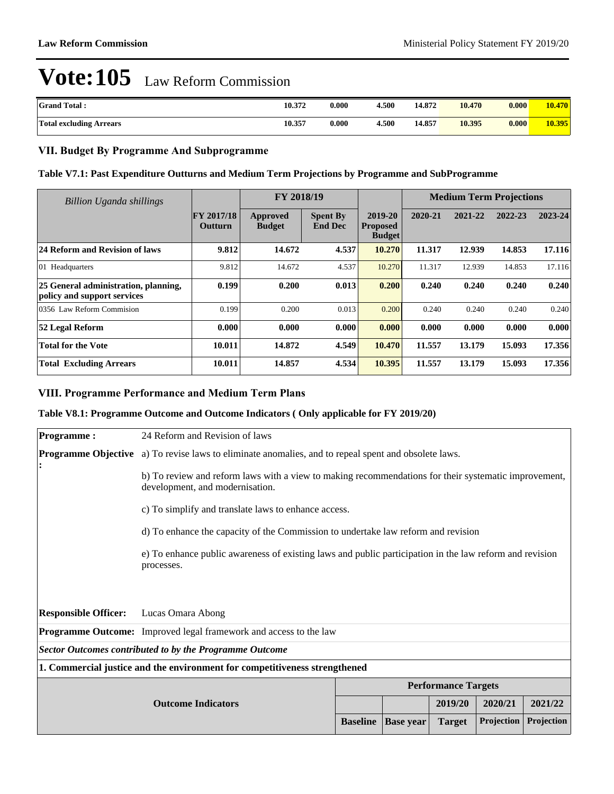| <b>Grand Total:</b>            | 10.372 | 0.000 | 4.500 | 14.872 | 10.470 | 0.000 | 10.470 |
|--------------------------------|--------|-------|-------|--------|--------|-------|--------|
| <b>Total excluding Arrears</b> | 10.357 | 0.000 | .500  | 14.857 | 10.395 | 0.000 | 10.395 |

### **VII. Budget By Programme And Subprogramme**

#### **Table V7.1: Past Expenditure Outturns and Medium Term Projections by Programme and SubProgramme**

| <b>Billion Uganda shillings</b>                                     |                              | FY 2018/19                |                                   |                                             | <b>Medium Term Projections</b> |         |         |         |
|---------------------------------------------------------------------|------------------------------|---------------------------|-----------------------------------|---------------------------------------------|--------------------------------|---------|---------|---------|
|                                                                     | FY 2017/18<br><b>Outturn</b> | Approved<br><b>Budget</b> | <b>Spent By</b><br><b>End Dec</b> | 2019-20<br><b>Proposed</b><br><b>Budget</b> | 2020-21                        | 2021-22 | 2022-23 | 2023-24 |
| 24 Reform and Revision of laws                                      | 9.812                        | 14.672                    | 4.537                             | 10.270                                      | 11.317                         | 12.939  | 14.853  | 17.116  |
| 01 Headquarters                                                     | 9.812                        | 14.672                    | 4.537                             | 10.270                                      | 11.317                         | 12.939  | 14.853  | 17.116  |
| 25 General administration, planning,<br>policy and support services | 0.199                        | 0.200                     | 0.013                             | 0.200                                       | 0.240                          | 0.240   | 0.240   | 0.240   |
| 0356 Law Reform Commision                                           | 0.199                        | 0.200                     | 0.013                             | 0.200                                       | 0.240                          | 0.240   | 0.240   | 0.240   |
| 52 Legal Reform                                                     | 0.000                        | 0.000                     | 0.000                             | 0.000                                       | 0.000                          | 0.000   | 0.000   | 0.000   |
| <b>Total for the Vote</b>                                           | 10.011                       | 14.872                    | 4.549                             | 10.470                                      | 11.557                         | 13.179  | 15.093  | 17.356  |
| <b>Total Excluding Arrears</b>                                      | 10.011                       | 14.857                    | 4.534                             | 10.395                                      | 11.557                         | 13.179  | 15.093  | 17.356  |

### **VIII. Programme Performance and Medium Term Plans**

#### **Table V8.1: Programme Outcome and Outcome Indicators ( Only applicable for FY 2019/20)**

| <b>Programme:</b>           | 24 Reform and Revision of laws                                                                                                          |                 |                  |                            |            |            |  |
|-----------------------------|-----------------------------------------------------------------------------------------------------------------------------------------|-----------------|------------------|----------------------------|------------|------------|--|
|                             | <b>Programme Objective</b> a) To revise laws to eliminate anomalies, and to repeal spent and obsolete laws.                             |                 |                  |                            |            |            |  |
|                             | b) To review and reform laws with a view to making recommendations for their systematic improvement,<br>development, and modernisation. |                 |                  |                            |            |            |  |
|                             | c) To simplify and translate laws to enhance access.                                                                                    |                 |                  |                            |            |            |  |
|                             | d) To enhance the capacity of the Commission to undertake law reform and revision                                                       |                 |                  |                            |            |            |  |
|                             | e) To enhance public awareness of existing laws and public participation in the law reform and revision<br>processes.                   |                 |                  |                            |            |            |  |
|                             |                                                                                                                                         |                 |                  |                            |            |            |  |
| <b>Responsible Officer:</b> | Lucas Omara Abong                                                                                                                       |                 |                  |                            |            |            |  |
|                             | <b>Programme Outcome:</b> Improved legal framework and access to the law                                                                |                 |                  |                            |            |            |  |
|                             | Sector Outcomes contributed to by the Programme Outcome                                                                                 |                 |                  |                            |            |            |  |
|                             | 1. Commercial justice and the environment for competitiveness strengthened                                                              |                 |                  |                            |            |            |  |
|                             |                                                                                                                                         |                 |                  | <b>Performance Targets</b> |            |            |  |
|                             | 2021/22<br><b>Outcome Indicators</b><br>2019/20<br>2020/21                                                                              |                 |                  |                            |            |            |  |
|                             |                                                                                                                                         | <b>Baseline</b> | <b>Base year</b> | <b>Target</b>              | Projection | Projection |  |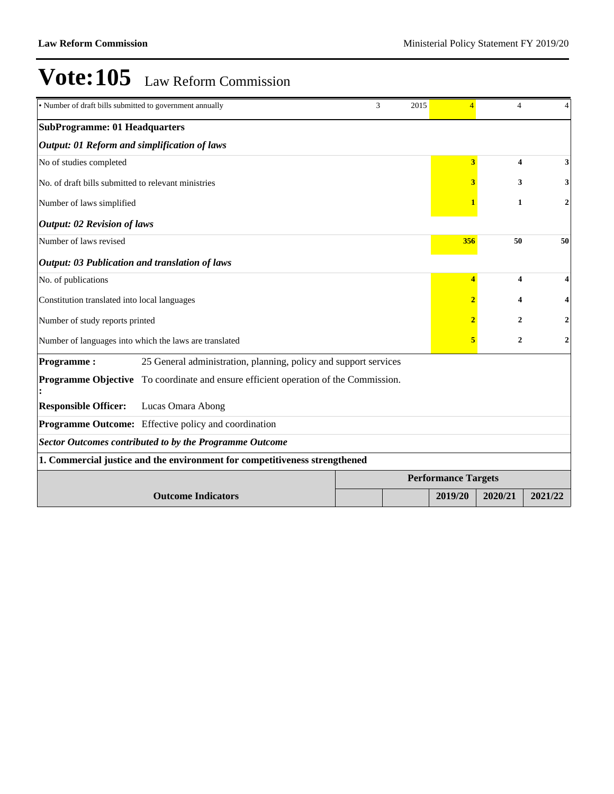| · Number of draft bills submitted to government annually                                   | 3<br>2015 | $\overline{4}$              | $\overline{4}$             | 4              |                         |  |  |  |  |  |
|--------------------------------------------------------------------------------------------|-----------|-----------------------------|----------------------------|----------------|-------------------------|--|--|--|--|--|
| <b>SubProgramme: 01 Headquarters</b>                                                       |           |                             |                            |                |                         |  |  |  |  |  |
| <b>Output: 01 Reform and simplification of laws</b>                                        |           |                             |                            |                |                         |  |  |  |  |  |
| No of studies completed                                                                    |           |                             | 3                          | 4              | 3                       |  |  |  |  |  |
| No. of draft bills submitted to relevant ministries                                        |           |                             | 3                          | 3              | 3                       |  |  |  |  |  |
| Number of laws simplified                                                                  |           |                             |                            | $\mathbf{1}$   | $\overline{\mathbf{c}}$ |  |  |  |  |  |
| <b>Output: 02 Revision of laws</b>                                                         |           |                             |                            |                |                         |  |  |  |  |  |
| Number of laws revised                                                                     |           |                             | 356                        | 50             | 50                      |  |  |  |  |  |
| <b>Output: 03 Publication and translation of laws</b>                                      |           |                             |                            |                |                         |  |  |  |  |  |
| No. of publications                                                                        | 4         | $\overline{\mathbf{4}}$     |                            |                |                         |  |  |  |  |  |
| Constitution translated into local languages                                               |           | 4                           |                            |                |                         |  |  |  |  |  |
| Number of study reports printed                                                            |           | $\mathcal{D}_{\mathcal{L}}$ |                            |                |                         |  |  |  |  |  |
| Number of languages into which the laws are translated                                     |           |                             | 5                          | $\overline{2}$ | 2                       |  |  |  |  |  |
| <b>Programme:</b><br>25 General administration, planning, policy and support services      |           |                             |                            |                |                         |  |  |  |  |  |
| <b>Programme Objective</b> To coordinate and ensure efficient operation of the Commission. |           |                             |                            |                |                         |  |  |  |  |  |
| <b>Responsible Officer:</b><br>Lucas Omara Abong                                           |           |                             |                            |                |                         |  |  |  |  |  |
| Programme Outcome: Effective policy and coordination                                       |           |                             |                            |                |                         |  |  |  |  |  |
| <b>Sector Outcomes contributed to by the Programme Outcome</b>                             |           |                             |                            |                |                         |  |  |  |  |  |
| 1. Commercial justice and the environment for competitiveness strengthened                 |           |                             |                            |                |                         |  |  |  |  |  |
|                                                                                            |           |                             | <b>Performance Targets</b> |                |                         |  |  |  |  |  |
| <b>Outcome Indicators</b>                                                                  |           |                             | 2019/20                    | 2020/21        | 2021/22                 |  |  |  |  |  |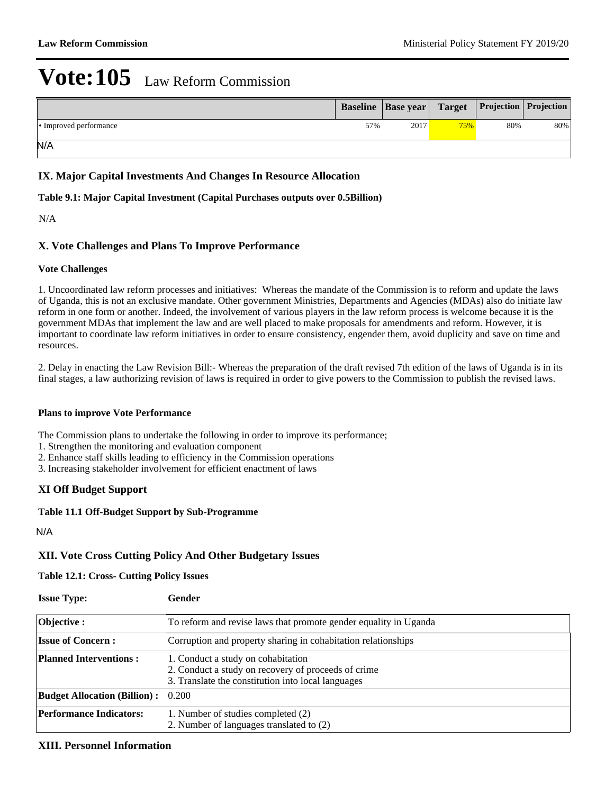|                        |     | <b>Baseline   Base year   Target   Projection   Projection  </b> |     |     |     |
|------------------------|-----|------------------------------------------------------------------|-----|-----|-----|
| • Improved performance | 57% | 2017                                                             | 75% | 80% | 80% |
| N/A                    |     |                                                                  |     |     |     |

### **IX. Major Capital Investments And Changes In Resource Allocation**

#### **Table 9.1: Major Capital Investment (Capital Purchases outputs over 0.5Billion)**

#### N/A

### **X. Vote Challenges and Plans To Improve Performance**

#### **Vote Challenges**

1. Uncoordinated law reform processes and initiatives: Whereas the mandate of the Commission is to reform and update the laws of Uganda, this is not an exclusive mandate. Other government Ministries, Departments and Agencies (MDAs) also do initiate law reform in one form or another. Indeed, the involvement of various players in the law reform process is welcome because it is the government MDAs that implement the law and are well placed to make proposals for amendments and reform. However, it is important to coordinate law reform initiatives in order to ensure consistency, engender them, avoid duplicity and save on time and resources.

2. Delay in enacting the Law Revision Bill:- Whereas the preparation of the draft revised 7th edition of the laws of Uganda is in its final stages, a law authorizing revision of laws is required in order to give powers to the Commission to publish the revised laws.

#### **Plans to improve Vote Performance**

The Commission plans to undertake the following in order to improve its performance;

1. Strengthen the monitoring and evaluation component

2. Enhance staff skills leading to efficiency in the Commission operations

3. Increasing stakeholder involvement for efficient enactment of laws

#### **XI Off Budget Support**

#### **Table 11.1 Off-Budget Support by Sub-Programme**

N/A

## **XII. Vote Cross Cutting Policy And Other Budgetary Issues**

#### **Table 12.1: Cross- Cutting Policy Issues**

| <b>Issue Type:</b>                        | Gender                                                                                                                                          |
|-------------------------------------------|-------------------------------------------------------------------------------------------------------------------------------------------------|
| <b>Objective:</b>                         | To reform and revise laws that promote gender equality in Uganda                                                                                |
| <b>Issue of Concern:</b>                  | Corruption and property sharing in cohabitation relationships                                                                                   |
| <b>Planned Interventions:</b>             | 1. Conduct a study on cohabitation<br>2. Conduct a study on recovery of proceeds of crime<br>3. Translate the constitution into local languages |
| <b>Budget Allocation (Billion):</b> 0.200 |                                                                                                                                                 |
| <b>Performance Indicators:</b>            | 1. Number of studies completed (2)<br>2. Number of languages translated to (2)                                                                  |

#### **XIII. Personnel Information**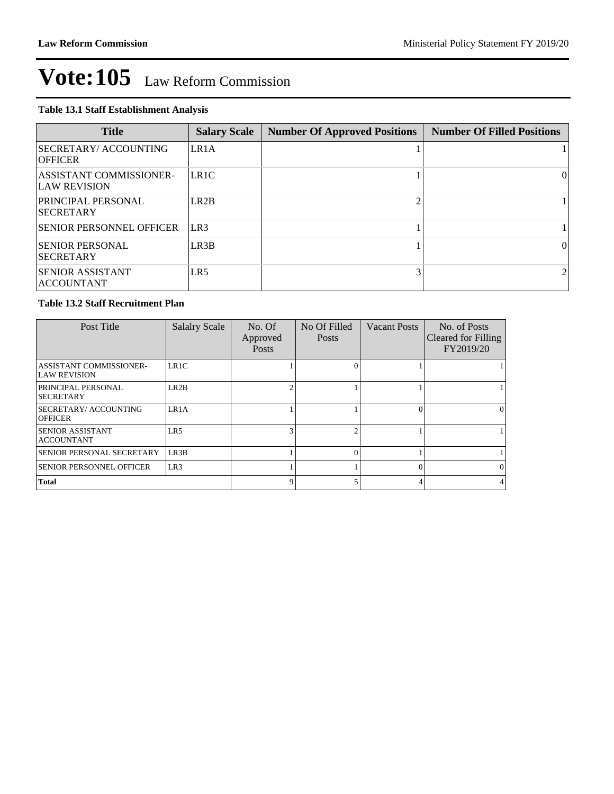#### **Table 13.1 Staff Establishment Analysis**

| <b>Title</b>                                          | <b>Salary Scale</b> | <b>Number Of Approved Positions</b> | <b>Number Of Filled Positions</b> |
|-------------------------------------------------------|---------------------|-------------------------------------|-----------------------------------|
| <b>SECRETARY/ ACCOUNTING</b><br><b>OFFICER</b>        | LR1A                |                                     |                                   |
| <b>ASSISTANT COMMISSIONER-</b><br><b>LAW REVISION</b> | LR1C                |                                     | $\Omega$                          |
| <b>PRINCIPAL PERSONAL</b><br><b>ISECRETARY</b>        | LR <sub>2</sub> B   |                                     |                                   |
| <b>ISENIOR PERSONNEL OFFICER</b>                      | LR3                 |                                     |                                   |
| <b>SENIOR PERSONAL</b><br><b>SECRETARY</b>            | LR3B                |                                     | 0                                 |
| <b>ISENIOR ASSISTANT</b><br><b>ACCOUNTANT</b>         | LR <sub>5</sub>     |                                     |                                   |

#### **Table 13.2 Staff Recruitment Plan**

| Post Title                                            | <b>Salalry Scale</b> | No. Of<br>Approved<br><b>Posts</b> | No Of Filled<br><b>Posts</b> | <b>Vacant Posts</b> | No. of Posts<br>Cleared for Filling<br>FY2019/20 |
|-------------------------------------------------------|----------------------|------------------------------------|------------------------------|---------------------|--------------------------------------------------|
| <b>ASSISTANT COMMISSIONER-</b><br><b>LAW REVISION</b> | LR1C                 |                                    |                              |                     |                                                  |
| PRINCIPAL PERSONAL<br><b>SECRETARY</b>                | LR2B                 | $\mathfrak{D}$                     |                              |                     |                                                  |
| SECRETARY/ ACCOUNTING<br><b>OFFICER</b>               | LR1A                 |                                    |                              |                     | $\Omega$                                         |
| <b>SENIOR ASSISTANT</b><br><b>ACCOUNTANT</b>          | LR5                  | 3                                  |                              |                     |                                                  |
| SENIOR PERSONAL SECRETARY                             | LR <sub>3</sub> B    |                                    |                              |                     |                                                  |
| <b>SENIOR PERSONNEL OFFICER</b>                       | LR <sub>3</sub>      |                                    |                              |                     | $\Omega$                                         |
| <b>Total</b>                                          |                      | $\mathbf Q$                        |                              |                     |                                                  |